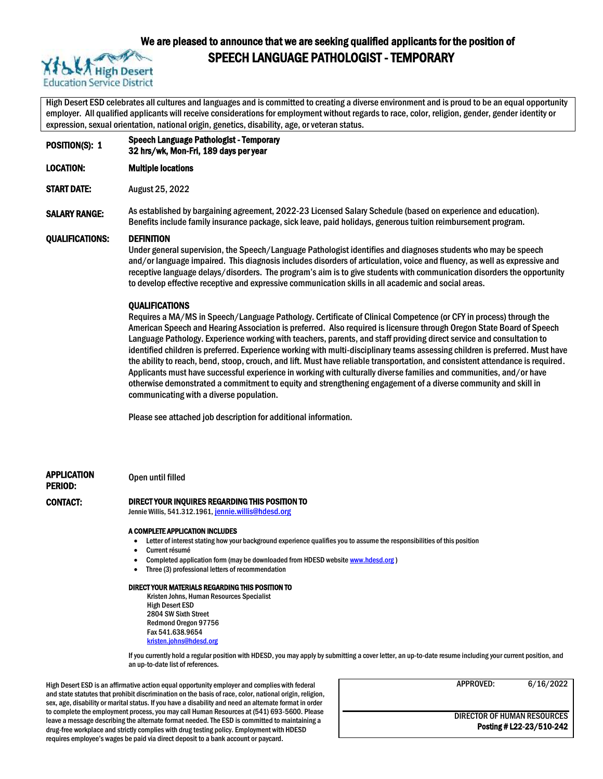

## We are pleased to announce that we are seeking qualified applicants for the position of SPEECH LANGUAGE PATHOLOGIST - TEMPORARY

High Desert ESD celebrates all cultures and languages and is committed to creating a diverse environment and is proud to be an equal opportunity employer. All qualified applicants will receive considerations for employment without regards to race, color, religion, gender, gender identity or expression, sexual orientation, national origin, genetics, disability, age, or veteran status.

POSITION(S): 1 Speech Language Pathologist - Temporary 32 hrs/wk, Mon-Fri, 189 days per year

LOCATION: Multiple locations

START DATE: August 25, 2022

SALARY RANGE: As established by bargaining agreement, 2022-23 Licensed Salary Schedule (based on experience and education). Benefits include family insurance package, sick leave, paid holidays, generous tuition reimbursement program.

#### QUALIFICATIONS: DEFINITION

Under general supervision, the Speech/Language Pathologist identifies and diagnoses students who may be speech and/or language impaired. This diagnosis includes disorders of articulation, voice and fluency, as well as expressive and receptive language delays/disorders. The program's aim is to give students with communication disorders the opportunity to develop effective receptive and expressive communication skills in all academic and social areas.

#### **OUALIFICATIONS**

Requires a MA/MS in Speech/Language Pathology. Certificate of Clinical Competence (or CFY in process) through the American Speech and Hearing Association is preferred. Also required is licensure through Oregon State Board of Speech Language Pathology. Experience working with teachers, parents, and staff providing direct service and consultation to identified children is preferred. Experience working with multi-disciplinary teams assessing children is preferred. Must have the ability to reach, bend, stoop, crouch, and lift. Must have reliable transportation, and consistent attendance is required. Applicants must have successful experience in working with culturally diverse families and communities, and/or have otherwise demonstrated a commitment to equity and strengthening engagement of a diverse community and skill in communicating with a diverse population.

Please see attached job description for additional information.

APPLICATION Open until filled

# PERIOD:

#### CONTACT: DIRECT YOUR INQUIRES REGARDING THIS POSITION TO

Jennie Willis, 541.312.1961, [jennie.willis@hdesd.org](mailto:jennie.willis@hdesd.org)

#### A COMPLETE APPLICATION INCLUDES

- Letter of interest stating how your background experience qualifies you to assume the responsibilities of this position
- Current résumé
- Completed application form (may be downloaded from HDESD websit[e www.hdesd.org](http://www.hdesd.org/))
- Three (3) professional letters of recommendation

#### DIRECT YOUR MATERIALS REGARDING THIS POSITION TO

Kristen Johns, Human Resources Specialist High Desert ESD 2804 SW Sixth Street Redmond Oregon 97756 Fax 541.638.9654 [kristen.johns@hdesd.org](mailto:kristen.johns@hdesd.org)

If you currently hold a regular position with HDESD, you may apply by submitting a cover letter, an up-to-date resume including your current position, and an up-to-date list of references.

High Desert ESD is an affirmative action equal opportunity employer and complies with federal and state statutes that prohibit discrimination on the basis of race, color, national origin, religion, sex, age, disability or marital status. If you have a disability and need an alternate format in order to complete the employment process, you may call Human Resources at (541) 693-5600. Please leave a message describing the alternate format needed. The ESD is committed to maintaining a drug-free workplace and strictly complies with drug testing policy. Employment with HDESD requires employee's wages be paid via direct deposit to a bank account or paycard.

APPROVED: 6/16/2022

DIRECTOR OF HUMAN RESOURCES Posting # L22-23/510-242